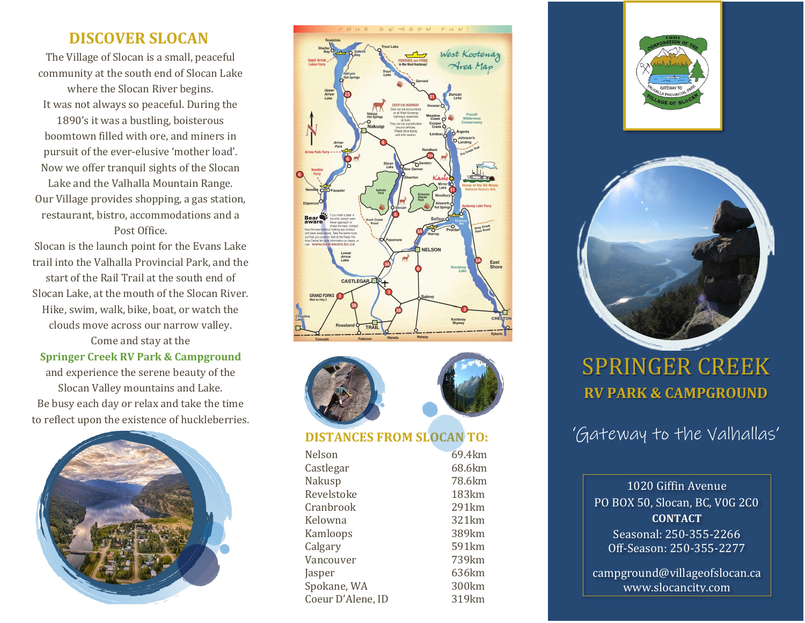## **DISCOVER SLOCAN**

The Village of Slocan is a small, peaceful community at the south end of Slocan Lake where the Slocan River begins. It was not always so peaceful. During the

1890's it was a bustling, boisterous boomtown filled with ore, and miners in pursuit of the ever-elusive 'mother load'. Now we offer tranquil sights of the Slocan Lake and the Valhalla Mountain Range. Our Village provides shopping, a gas station, restaurant, bistro, accommodations and a Post Office.

Slocan is the launch point for the Evans Lake trail into the Valhalla Provincial Park, and the start of the Rail Trail at the south end of Slocan Lake, at the mouth of the Slocan River. Hike, swim, walk, bike, boat, or watch the clouds move across our narrow valley.

Come and stay at the **Springer Creek RV Park & Campground** and experience the serene beauty of the Slocan Valley mountains and Lake. Be busy each day or relax and take the time to reflect upon the existence of huckleberries.







#### **DISTANCES FROM SLOCAN TO:**

Nelson 69.4km Castlegar 68.6km Nakusp 78.6km Revelstoke 183km Cranbrook 291km Kelowna 321km Kamloops 389km Calgary 591km Vancouver 739km Jasper 636km Spokane, WA 300km Coeur D'Alene, ID 319km





# SPRINGER CREEK **RV PARK & CAMPGROUND**

'Gateway to the Valhallas'

1020 Giffin Avenue PO BOX 50, Slocan, BC, V0G 2C0 **CONTACT** Seasonal: 250-355-2266 Off-Season: 250-355-2277

[campground@villageofslocan.ca](mailto:campground@villageofslocan.ca) [www.slocancity.com](http://www.slocancity.com/)